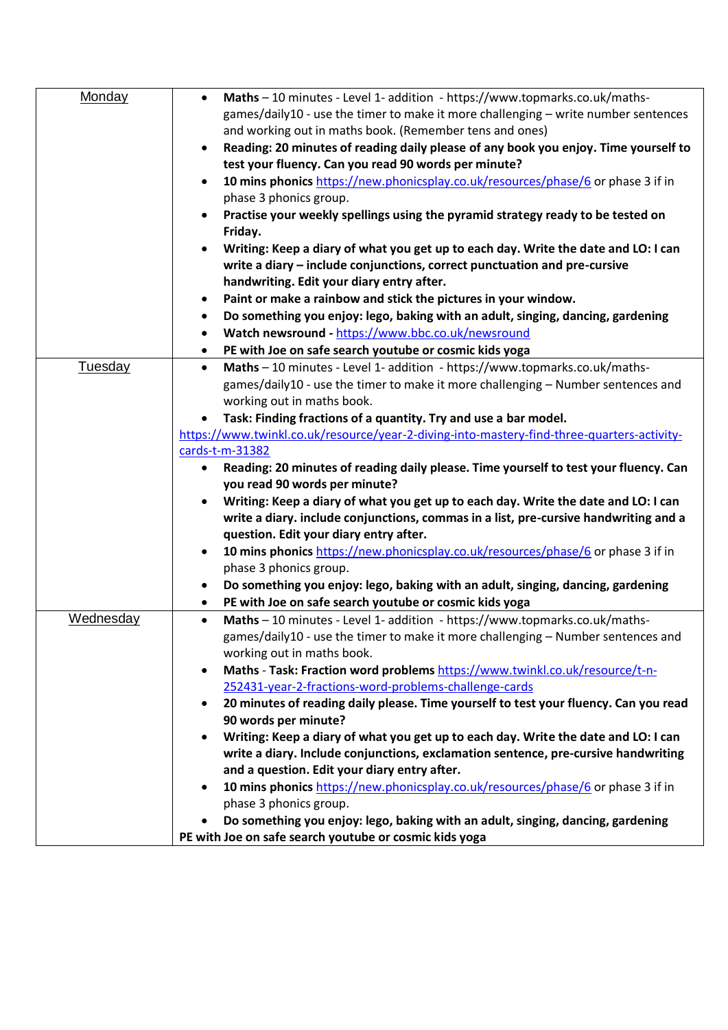| Monday         | Maths - 10 minutes - Level 1- addition - https://www.topmarks.co.uk/maths-<br>$\bullet$          |
|----------------|--------------------------------------------------------------------------------------------------|
|                | games/daily10 - use the timer to make it more challenging - write number sentences               |
|                | and working out in maths book. (Remember tens and ones)                                          |
|                | Reading: 20 minutes of reading daily please of any book you enjoy. Time yourself to<br>$\bullet$ |
|                | test your fluency. Can you read 90 words per minute?                                             |
|                | 10 mins phonics https://new.phonicsplay.co.uk/resources/phase/6 or phase 3 if in                 |
|                |                                                                                                  |
|                | phase 3 phonics group.                                                                           |
|                | Practise your weekly spellings using the pyramid strategy ready to be tested on                  |
|                | Friday.                                                                                          |
|                | Writing: Keep a diary of what you get up to each day. Write the date and LO: I can               |
|                | write a diary - include conjunctions, correct punctuation and pre-cursive                        |
|                | handwriting. Edit your diary entry after.                                                        |
|                | Paint or make a rainbow and stick the pictures in your window.<br>٠                              |
|                | Do something you enjoy: lego, baking with an adult, singing, dancing, gardening<br>٠             |
|                | Watch newsround - https://www.bbc.co.uk/newsround<br>٠                                           |
|                | PE with Joe on safe search youtube or cosmic kids yoga<br>٠                                      |
| <b>Tuesday</b> | Maths - 10 minutes - Level 1- addition - https://www.topmarks.co.uk/maths-<br>$\bullet$          |
|                |                                                                                                  |
|                | games/daily10 - use the timer to make it more challenging - Number sentences and                 |
|                | working out in maths book.                                                                       |
|                | Task: Finding fractions of a quantity. Try and use a bar model.                                  |
|                | https://www.twinkl.co.uk/resource/year-2-diving-into-mastery-find-three-quarters-activity-       |
|                | cards-t-m-31382                                                                                  |
|                | Reading: 20 minutes of reading daily please. Time yourself to test your fluency. Can<br>٠        |
|                | you read 90 words per minute?                                                                    |
|                | Writing: Keep a diary of what you get up to each day. Write the date and LO: I can               |
|                | write a diary. include conjunctions, commas in a list, pre-cursive handwriting and a             |
|                | question. Edit your diary entry after.                                                           |
|                | 10 mins phonics https://new.phonicsplay.co.uk/resources/phase/6 or phase 3 if in<br>$\bullet$    |
|                | phase 3 phonics group.                                                                           |
|                | Do something you enjoy: lego, baking with an adult, singing, dancing, gardening<br>٠             |
|                | PE with Joe on safe search youtube or cosmic kids yoga<br>$\bullet$                              |
| Wednesday      | Maths - 10 minutes - Level 1- addition - https://www.topmarks.co.uk/maths-<br>$\bullet$          |
|                | games/daily10 - use the timer to make it more challenging - Number sentences and                 |
|                |                                                                                                  |
|                | working out in maths book.                                                                       |
|                | Maths - Task: Fraction word problems https://www.twinkl.co.uk/resource/t-n-<br>$\bullet$         |
|                | 252431-year-2-fractions-word-problems-challenge-cards                                            |
|                | 20 minutes of reading daily please. Time yourself to test your fluency. Can you read             |
|                | 90 words per minute?                                                                             |
|                | Writing: Keep a diary of what you get up to each day. Write the date and LO: I can               |
|                | write a diary. Include conjunctions, exclamation sentence, pre-cursive handwriting               |
|                | and a question. Edit your diary entry after.                                                     |
|                | 10 mins phonics https://new.phonicsplay.co.uk/resources/phase/6 or phase 3 if in<br>$\bullet$    |
|                | phase 3 phonics group.                                                                           |
|                | Do something you enjoy: lego, baking with an adult, singing, dancing, gardening                  |
|                | PE with Joe on safe search youtube or cosmic kids yoga                                           |
|                |                                                                                                  |